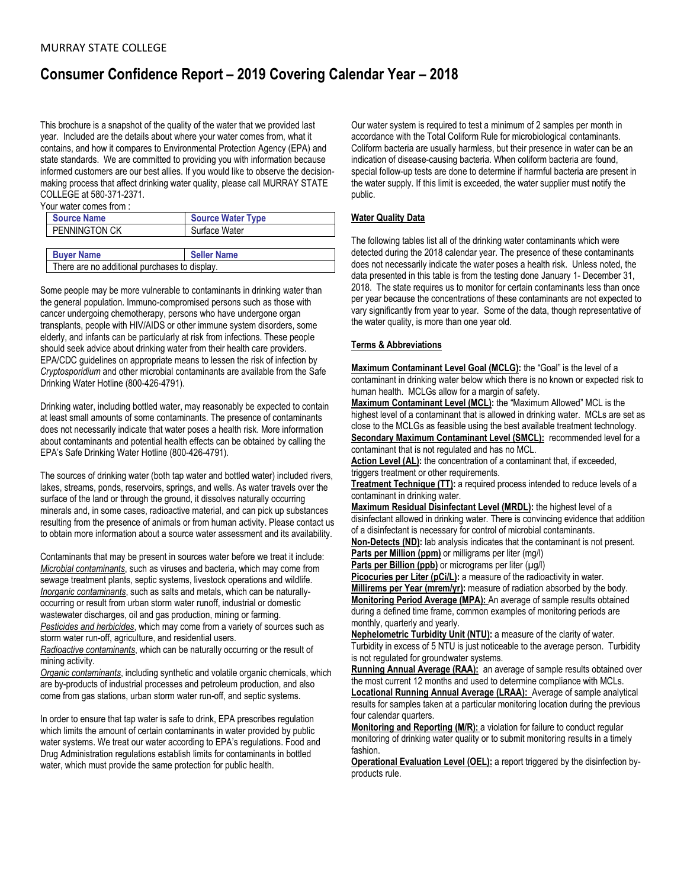# **Consumer Confidence Report – 2019 Covering Calendar Year – 2018**

This brochure is a snapshot of the quality of the water that we provided last year. Included are the details about where your water comes from, what it contains, and how it compares to Environmental Protection Agency (EPA) and state standards. We are committed to providing you with information because informed customers are our best allies. If you would like to observe the decisionmaking process that affect drinking water quality, please call MURRAY STATE COLLEGE at 580-371-2371.

Your water comes from :

| <b>Source Name</b>   | <b>Source Water Type</b> |
|----------------------|--------------------------|
| <b>PENNINGTON CK</b> | Surface Water            |
|                      |                          |
| <b>Buyer Name</b>    | <b>Seller Name</b>       |

There are no additional purchases to display.

Some people may be more vulnerable to contaminants in drinking water than the general population. Immuno-compromised persons such as those with cancer undergoing chemotherapy, persons who have undergone organ transplants, people with HIV/AIDS or other immune system disorders, some elderly, and infants can be particularly at risk from infections. These people should seek advice about drinking water from their health care providers. EPA/CDC guidelines on appropriate means to lessen the risk of infection by *Cryptosporidium* and other microbial contaminants are available from the Safe Drinking Water Hotline (800-426-4791).

Drinking water, including bottled water, may reasonably be expected to contain at least small amounts of some contaminants. The presence of contaminants does not necessarily indicate that water poses a health risk. More information about contaminants and potential health effects can be obtained by calling the EPA's Safe Drinking Water Hotline (800-426-4791).

The sources of drinking water (both tap water and bottled water) included rivers, lakes, streams, ponds, reservoirs, springs, and wells. As water travels over the surface of the land or through the ground, it dissolves naturally occurring minerals and, in some cases, radioactive material, and can pick up substances resulting from the presence of animals or from human activity. Please contact us to obtain more information about a source water assessment and its availability.

Contaminants that may be present in sources water before we treat it include: *Microbial contaminants*, such as viruses and bacteria, which may come from sewage treatment plants, septic systems, livestock operations and wildlife. *Inorganic contaminants*, such as salts and metals, which can be naturallyoccurring or result from urban storm water runoff, industrial or domestic wastewater discharges, oil and gas production, mining or farming. *Pesticides and herbicides*, which may come from a variety of sources such as storm water run-off, agriculture, and residential users.

*Radioactive contaminants*, which can be naturally occurring or the result of mining activity.

*Organic contaminants*, including synthetic and volatile organic chemicals, which are by-products of industrial processes and petroleum production, and also come from gas stations, urban storm water run-off, and septic systems.

In order to ensure that tap water is safe to drink, EPA prescribes regulation which limits the amount of certain contaminants in water provided by public water systems. We treat our water according to EPA's regulations. Food and Drug Administration regulations establish limits for contaminants in bottled water, which must provide the same protection for public health.

Our water system is required to test a minimum of 2 samples per month in accordance with the Total Coliform Rule for microbiological contaminants. Coliform bacteria are usually harmless, but their presence in water can be an indication of disease-causing bacteria. When coliform bacteria are found, special follow-up tests are done to determine if harmful bacteria are present in the water supply. If this limit is exceeded, the water supplier must notify the public.

## **Water Quality Data**

The following tables list all of the drinking water contaminants which were detected during the 2018 calendar year. The presence of these contaminants does not necessarily indicate the water poses a health risk. Unless noted, the data presented in this table is from the testing done January 1- December 31, 2018. The state requires us to monitor for certain contaminants less than once per year because the concentrations of these contaminants are not expected to vary significantly from year to year. Some of the data, though representative of the water quality, is more than one year old.

#### **Terms & Abbreviations**

**Maximum Contaminant Level Goal (MCLG):** the "Goal" is the level of a contaminant in drinking water below which there is no known or expected risk to human health. MCLGs allow for a margin of safety.

**Maximum Contaminant Level (MCL):** the "Maximum Allowed" MCL is the highest level of a contaminant that is allowed in drinking water. MCLs are set as close to the MCLGs as feasible using the best available treatment technology. **Secondary Maximum Contaminant Level (SMCL):** recommended level for a contaminant that is not regulated and has no MCL.

Action Level (AL): the concentration of a contaminant that, if exceeded, triggers treatment or other requirements.

**Treatment Technique (TT):** a required process intended to reduce levels of a contaminant in drinking water.

**Maximum Residual Disinfectant Level (MRDL):** the highest level of a disinfectant allowed in drinking water. There is convincing evidence that addition of a disinfectant is necessary for control of microbial contaminants.

**Non-Detects (ND):** lab analysis indicates that the contaminant is not present. **Parts per Million (ppm)** or milligrams per liter (mg/l)

**Parts per Billion (ppb)** or micrograms per liter ( $\mu$ g/l)

**Picocuries per Liter (pCi/L):** a measure of the radioactivity in water. **Millirems per Year (mrem/yr):** measure of radiation absorbed by the body. **Monitoring Period Average (MPA):** An average of sample results obtained during a defined time frame, common examples of monitoring periods are monthly, quarterly and yearly.

**Nephelometric Turbidity Unit (NTU):** a measure of the clarity of water. Turbidity in excess of 5 NTU is just noticeable to the average person. Turbidity is not regulated for groundwater systems.

**Running Annual Average (RAA):** an average of sample results obtained over the most current 12 months and used to determine compliance with MCLs. **Locational Running Annual Average (LRAA):** Average of sample analytical results for samples taken at a particular monitoring location during the previous

four calendar quarters. **Monitoring and Reporting (M/R):** a violation for failure to conduct regular monitoring of drinking water quality or to submit monitoring results in a timely fashion.

**Operational Evaluation Level (OEL):** a report triggered by the disinfection byproducts rule.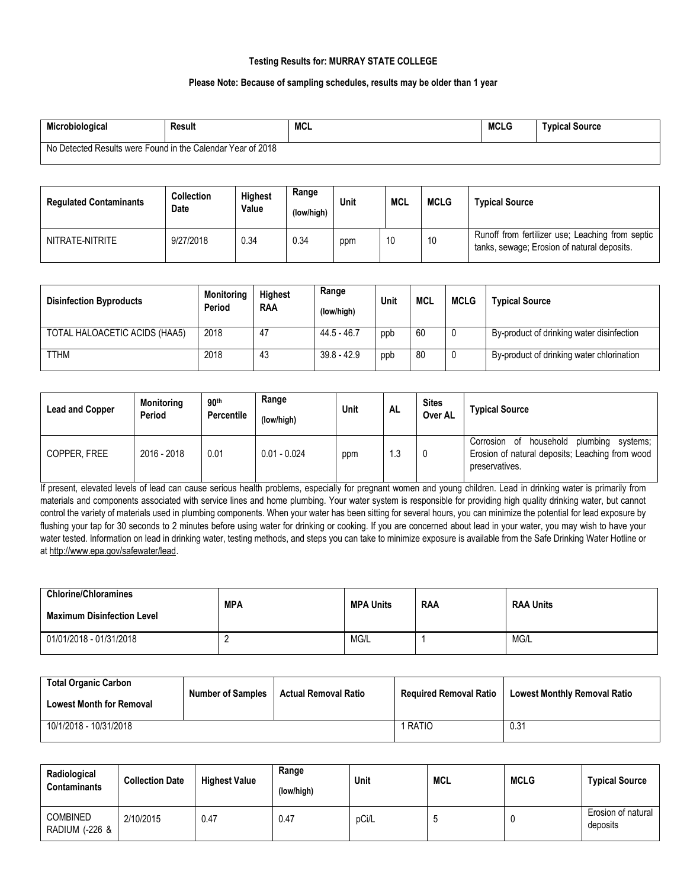# **Testing Results for: MURRAY STATE COLLEGE**

## **Please Note: Because of sampling schedules, results may be older than 1 year**

| Microbiological                                             | Result | <b>MCL</b> | <b>MCLG</b> | <b>Typical Source</b> |
|-------------------------------------------------------------|--------|------------|-------------|-----------------------|
| No Detected Results were Found in the Calendar Year of 2018 |        |            |             |                       |

| <b>Regulated Contaminants</b> | <b>Collection</b><br>Date | Highest<br>Value | Range<br>(low/high) | Unit | <b>MCL</b> | <b>MCLG</b> | <b>Typical Source</b>                                                                           |
|-------------------------------|---------------------------|------------------|---------------------|------|------------|-------------|-------------------------------------------------------------------------------------------------|
| NITRATE-NITRITE               | 9/27/2018                 | 0.34             | 0.34                | ppm  | 10         | 10          | Runoff from fertilizer use; Leaching from septic<br>tanks, sewage; Erosion of natural deposits. |

| <b>Disinfection Byproducts</b> | <b>Monitoring</b><br>Period | <b>Highest</b><br><b>RAA</b> | Range<br>(low/high) | Unit | <b>MCL</b> | <b>MCLG</b> | <b>Typical Source</b>                     |
|--------------------------------|-----------------------------|------------------------------|---------------------|------|------------|-------------|-------------------------------------------|
| TOTAL HALOACETIC ACIDS (HAA5)  | 2018                        | 47                           | 44.5 - 46.7         | ppb  | 60         | 0           | By-product of drinking water disinfection |
| <b>TTHM</b>                    | 2018                        | 43                           | $39.8 - 42.9$       | ppb  | 80         | 0           | By-product of drinking water chlorination |

| <b>Lead and Copper</b> | <b>Monitoring</b><br>Period | 90 <sup>th</sup><br><b>Percentile</b> | Range<br>(low/high) | Unit | <b>AL</b> | <b>Sites</b><br>Over AL | <b>Typical Source</b>                                                                                                  |
|------------------------|-----------------------------|---------------------------------------|---------------------|------|-----------|-------------------------|------------------------------------------------------------------------------------------------------------------------|
| COPPER, FREE           | 2016 - 2018                 | 0.01                                  | $0.01 - 0.024$      | ppm  | 1.3       |                         | household<br>plumbing<br>Corrosion of<br>svstems:<br>Erosion of natural deposits; Leaching from wood<br>preservatives. |

If present, elevated levels of lead can cause serious health problems, especially for pregnant women and young children. Lead in drinking water is primarily from materials and components associated with service lines and home plumbing. Your water system is responsible for providing high quality drinking water, but cannot control the variety of materials used in plumbing components. When your water has been sitting for several hours, you can minimize the potential for lead exposure by flushing your tap for 30 seconds to 2 minutes before using water for drinking or cooking. If you are concerned about lead in your water, you may wish to have your water tested. Information on lead in drinking water, testing methods, and steps you can take to minimize exposure is available from the Safe Drinking Water Hotline or a[t http://www.epa.gov/safewater/lead.](http://www.epa.gov/safewater/lead)

| <b>Chlorine/Chloramines</b><br><b>Maximum Disinfection Level</b> | <b>MPA</b> | <b>MPA Units</b> | <b>RAA</b> | <b>RAA Units</b> |
|------------------------------------------------------------------|------------|------------------|------------|------------------|
| 01/01/2018 - 01/31/2018                                          |            | MG/L             |            | MG/L             |

| <b>Total Organic Carbon</b><br><b>Lowest Month for Removal</b> | <b>Number of Samples</b> | <b>Actual Removal Ratio</b> | <b>Required Removal Ratio</b> | <b>Lowest Monthly Removal Ratio</b> |
|----------------------------------------------------------------|--------------------------|-----------------------------|-------------------------------|-------------------------------------|
| 10/1/2018 - 10/31/2018                                         |                          |                             | RATIC                         | 0.31                                |

| Radiological<br><b>Contaminants</b> | <b>Collection Date</b> | <b>Highest Value</b> | Range<br>(low/high) | Unit  | <b>MCL</b> | <b>MCLG</b> | <b>Typical Source</b>          |
|-------------------------------------|------------------------|----------------------|---------------------|-------|------------|-------------|--------------------------------|
| <b>COMBINED</b><br>RADIUM (-226 &   | 2/10/2015              | 0.47                 | 0.47                | pCi/L | u          |             | Erosion of natural<br>deposits |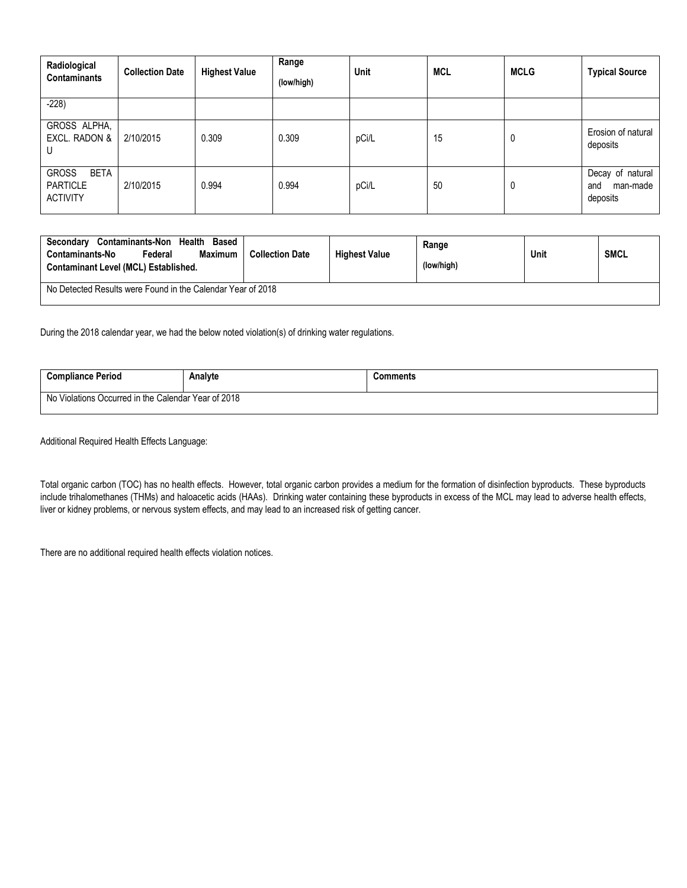| Radiological<br><b>Contaminants</b>                               | <b>Collection Date</b> | <b>Highest Value</b> | Range<br>(low/high) | Unit  | <b>MCL</b> | <b>MCLG</b> | <b>Typical Source</b>                           |
|-------------------------------------------------------------------|------------------------|----------------------|---------------------|-------|------------|-------------|-------------------------------------------------|
| $-228$                                                            |                        |                      |                     |       |            |             |                                                 |
| GROSS ALPHA,<br>EXCL. RADON &<br>U                                | 2/10/2015              | 0.309                | 0.309               | pCi/L | 15         | 0           | Erosion of natural<br>deposits                  |
| <b>GROSS</b><br><b>BETA</b><br><b>PARTICLE</b><br><b>ACTIVITY</b> | 2/10/2015              | 0.994                | 0.994               | pCi/L | 50         | 0           | Decay of natural<br>man-made<br>and<br>deposits |

| Contaminants-Non Health<br><b>Based</b><br>Secondary<br>Contaminants-No<br>Maximum<br>Federal<br>Contaminant Level (MCL) Established. | <b>Collection Date</b> | <b>Highest Value</b> | Range<br>(low/high) | Unit | <b>SMCL</b> |  |  |
|---------------------------------------------------------------------------------------------------------------------------------------|------------------------|----------------------|---------------------|------|-------------|--|--|
| No Detected Results were Found in the Calendar Year of 2018                                                                           |                        |                      |                     |      |             |  |  |

During the 2018 calendar year, we had the below noted violation(s) of drinking water regulations.

| <b>Compliance Period</b>                            | Analvte | `omments |  |  |  |
|-----------------------------------------------------|---------|----------|--|--|--|
| No Violations Occurred in the Calendar Year of 2018 |         |          |  |  |  |

Additional Required Health Effects Language:

Total organic carbon (TOC) has no health effects. However, total organic carbon provides a medium for the formation of disinfection byproducts. These byproducts include trihalomethanes (THMs) and haloacetic acids (HAAs). Drinking water containing these byproducts in excess of the MCL may lead to adverse health effects, liver or kidney problems, or nervous system effects, and may lead to an increased risk of getting cancer.

There are no additional required health effects violation notices.